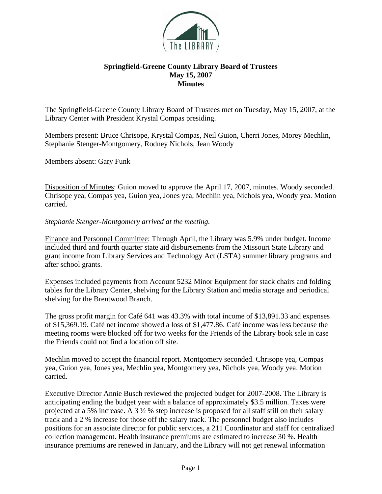

## **Springfield-Greene County Library Board of Trustees May 15, 2007 Minutes**

The Springfield-Greene County Library Board of Trustees met on Tuesday, May 15, 2007, at the Library Center with President Krystal Compas presiding.

Members present: Bruce Chrisope, Krystal Compas, Neil Guion, Cherri Jones, Morey Mechlin, Stephanie Stenger-Montgomery, Rodney Nichols, Jean Woody

Members absent: Gary Funk

Disposition of Minutes: Guion moved to approve the April 17, 2007, minutes. Woody seconded. Chrisope yea, Compas yea, Guion yea, Jones yea, Mechlin yea, Nichols yea, Woody yea. Motion carried.

*Stephanie Stenger-Montgomery arrived at the meeting.* 

Finance and Personnel Committee: Through April, the Library was 5.9% under budget. Income included third and fourth quarter state aid disbursements from the Missouri State Library and grant income from Library Services and Technology Act (LSTA) summer library programs and after school grants.

Expenses included payments from Account 5232 Minor Equipment for stack chairs and folding tables for the Library Center, shelving for the Library Station and media storage and periodical shelving for the Brentwood Branch.

The gross profit margin for Café 641 was 43.3% with total income of \$13,891.33 and expenses of \$15,369.19. Café net income showed a loss of \$1,477.86. Café income was less because the meeting rooms were blocked off for two weeks for the Friends of the Library book sale in case the Friends could not find a location off site.

Mechlin moved to accept the financial report. Montgomery seconded. Chrisope yea, Compas yea, Guion yea, Jones yea, Mechlin yea, Montgomery yea, Nichols yea, Woody yea. Motion carried.

Executive Director Annie Busch reviewed the projected budget for 2007-2008. The Library is anticipating ending the budget year with a balance of approximately \$3.5 million. Taxes were projected at a 5% increase. A 3 ½ % step increase is proposed for all staff still on their salary track and a 2 % increase for those off the salary track. The personnel budget also includes positions for an associate director for public services, a 211 Coordinator and staff for centralized collection management. Health insurance premiums are estimated to increase 30 %. Health insurance premiums are renewed in January, and the Library will not get renewal information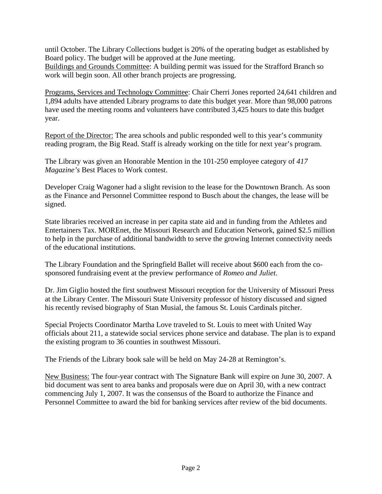until October. The Library Collections budget is 20% of the operating budget as established by Board policy. The budget will be approved at the June meeting.

Buildings and Grounds Committee: A building permit was issued for the Strafford Branch so work will begin soon. All other branch projects are progressing.

Programs, Services and Technology Committee: Chair Cherri Jones reported 24,641 children and 1,894 adults have attended Library programs to date this budget year. More than 98,000 patrons have used the meeting rooms and volunteers have contributed 3,425 hours to date this budget year.

Report of the Director: The area schools and public responded well to this year's community reading program, the Big Read. Staff is already working on the title for next year's program.

The Library was given an Honorable Mention in the 101-250 employee category of *417 Magazine's* Best Places to Work contest.

Developer Craig Wagoner had a slight revision to the lease for the Downtown Branch. As soon as the Finance and Personnel Committee respond to Busch about the changes, the lease will be signed.

State libraries received an increase in per capita state aid and in funding from the Athletes and Entertainers Tax. MOREnet, the Missouri Research and Education Network, gained \$2.5 million to help in the purchase of additional bandwidth to serve the growing Internet connectivity needs of the educational institutions.

The Library Foundation and the Springfield Ballet will receive about \$600 each from the cosponsored fundraising event at the preview performance of *Romeo and Juliet*.

Dr. Jim Giglio hosted the first southwest Missouri reception for the University of Missouri Press at the Library Center. The Missouri State University professor of history discussed and signed his recently revised biography of Stan Musial, the famous St. Louis Cardinals pitcher.

Special Projects Coordinator Martha Love traveled to St. Louis to meet with United Way officials about 211, a statewide social services phone service and database. The plan is to expand the existing program to 36 counties in southwest Missouri.

The Friends of the Library book sale will be held on May 24-28 at Remington's.

New Business: The four-year contract with The Signature Bank will expire on June 30, 2007. A bid document was sent to area banks and proposals were due on April 30, with a new contract commencing July 1, 2007. It was the consensus of the Board to authorize the Finance and Personnel Committee to award the bid for banking services after review of the bid documents.